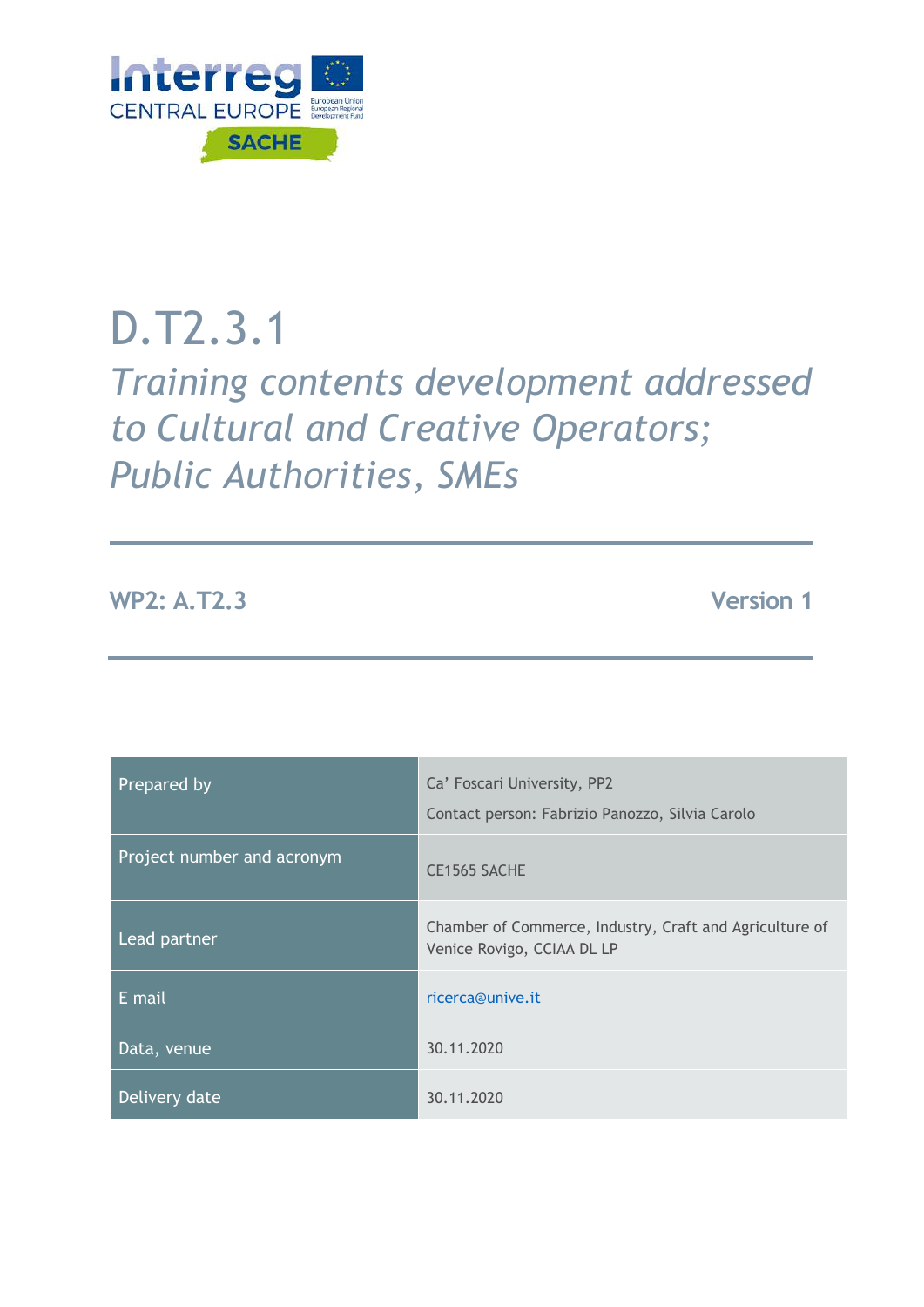

# D.T2.3.1

*Training contents development addressed to Cultural and Creative Operators; Public Authorities, SMEs* 

**WP2: A.T2.3 Version 1** 

| Prepared by                | Ca' Foscari University, PP2<br>Contact person: Fabrizio Panozzo, Silvia Carolo        |  |
|----------------------------|---------------------------------------------------------------------------------------|--|
|                            |                                                                                       |  |
| Project number and acronym | CE1565 SACHE                                                                          |  |
| Lead partner               | Chamber of Commerce, Industry, Craft and Agriculture of<br>Venice Rovigo, CCIAA DL LP |  |
| E mail                     | ricerca@unive.it                                                                      |  |
| Data, venue                | 30.11.2020                                                                            |  |
| Delivery date              | 30.11.2020                                                                            |  |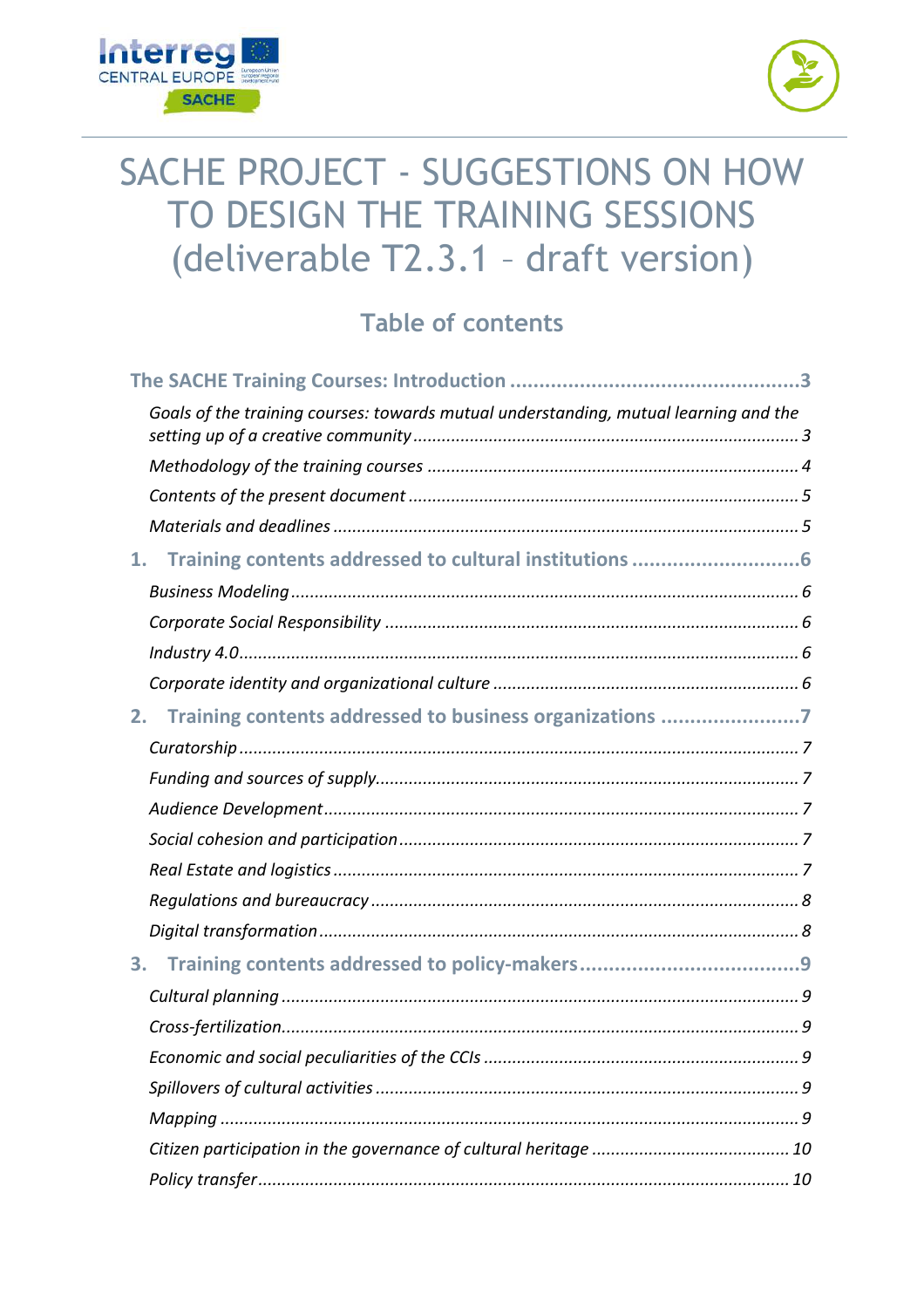



# SACHE PROJECT - SUGGESTIONS ON HOW TO DESIGN THE TRAINING SESSIONS (deliverable T2.3.1 - draft version)

# Table of contents

|    | Goals of the training courses: towards mutual understanding, mutual learning and the |
|----|--------------------------------------------------------------------------------------|
|    |                                                                                      |
|    |                                                                                      |
|    |                                                                                      |
| 1. |                                                                                      |
|    |                                                                                      |
|    |                                                                                      |
|    |                                                                                      |
|    |                                                                                      |
| 2. | Training contents addressed to business organizations 7                              |
|    |                                                                                      |
|    |                                                                                      |
|    |                                                                                      |
|    |                                                                                      |
|    |                                                                                      |
|    |                                                                                      |
|    |                                                                                      |
| 3. |                                                                                      |
|    |                                                                                      |
|    |                                                                                      |
|    |                                                                                      |
|    |                                                                                      |
|    |                                                                                      |
|    |                                                                                      |
|    |                                                                                      |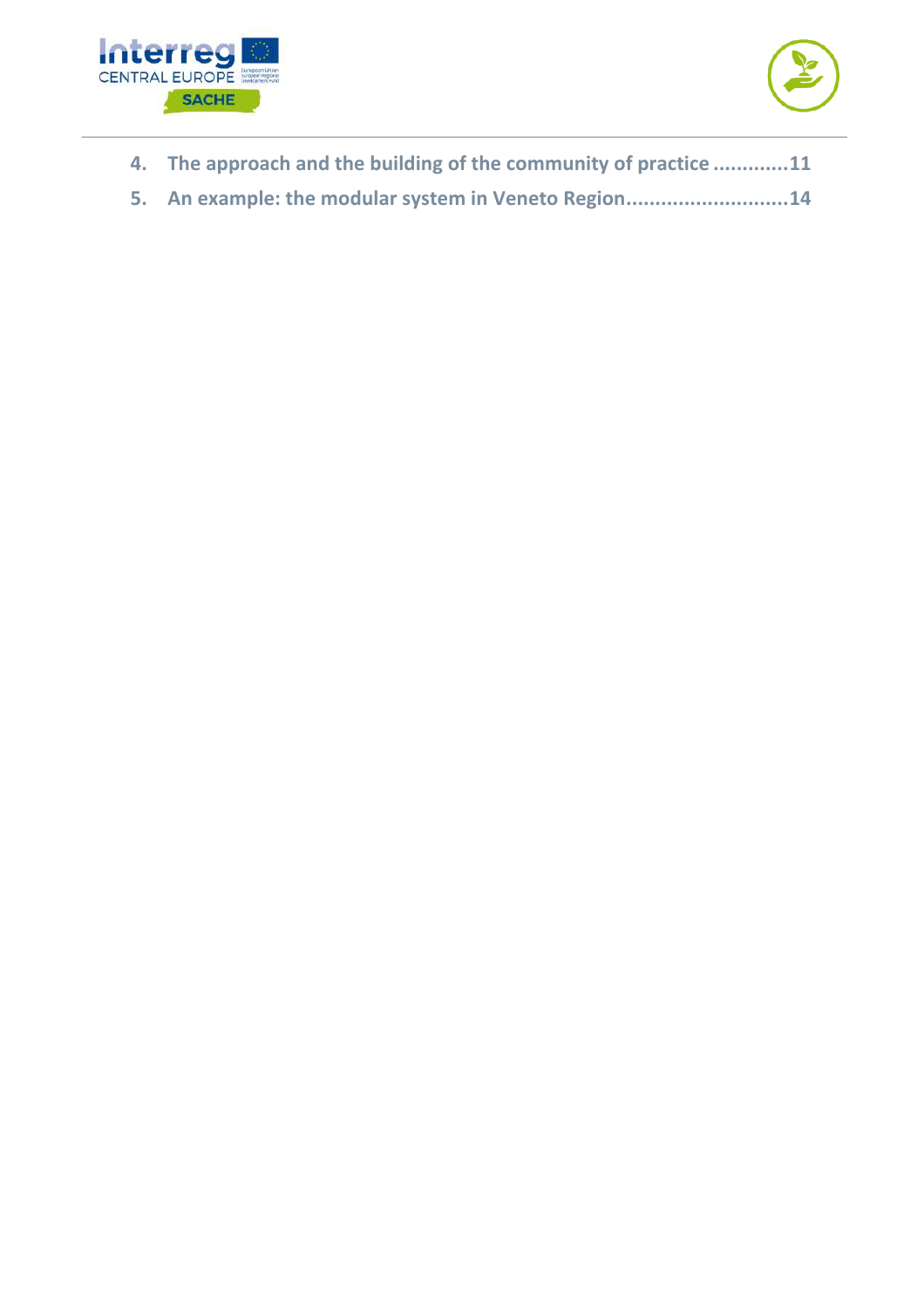



- **4. The approach and the building of the community of practice .............11**
- **5. An example: the modular system in Veneto Region............................14**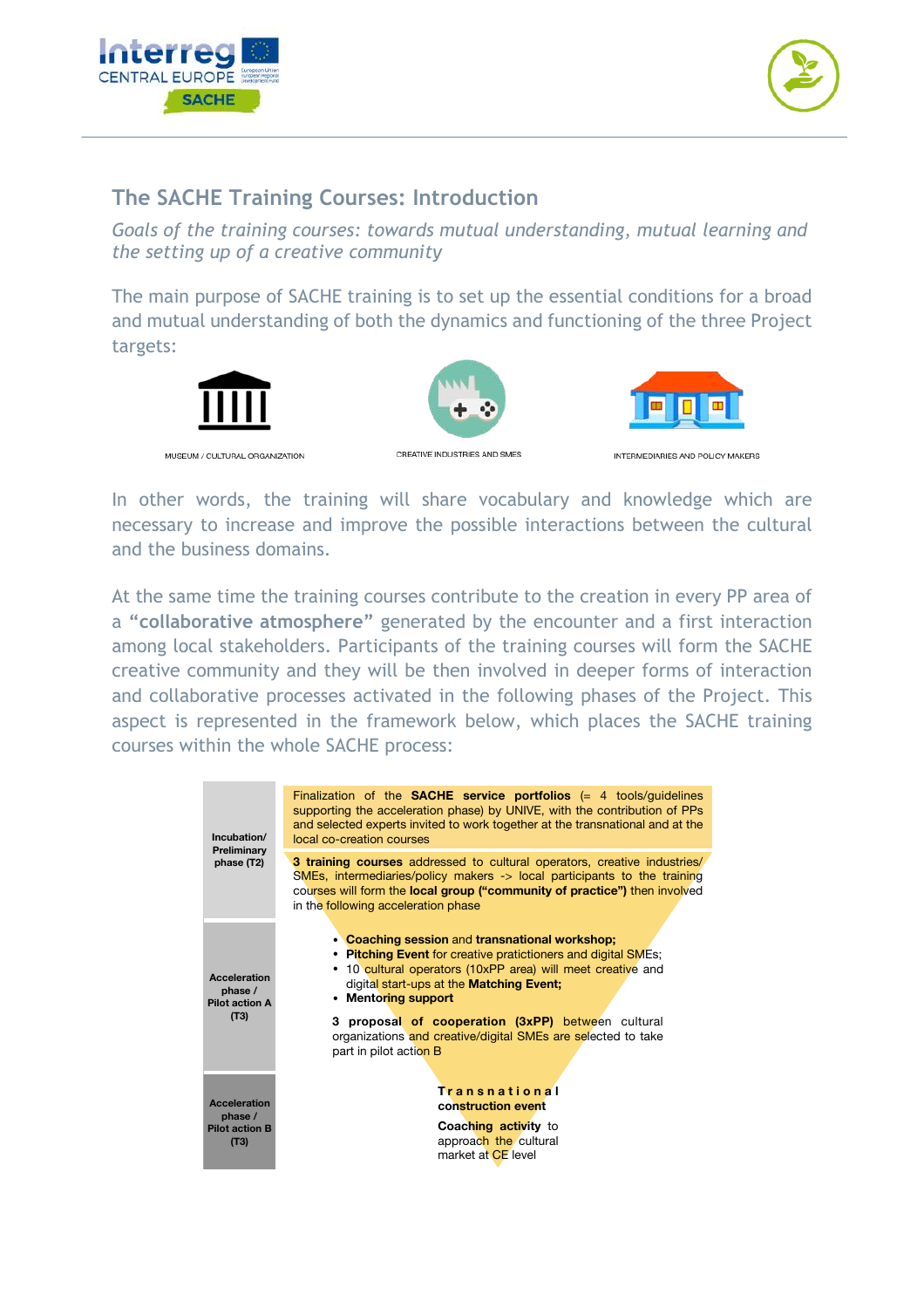



# **The SACHE Training Courses: Introduction**

*Goals of the training courses: towards mutual understanding, mutual learning and the setting up of a creative community* 

The main purpose of SACHE training is to set up the essential conditions for a broad and mutual understanding of both the dynamics and functioning of the three Project targets:



In other words, the training will share vocabulary and knowledge which are necessary to increase and improve the possible interactions between the cultural and the business domains.

At the same time the training courses contribute to the creation in every PP area of a **"collaborative atmosphere"** generated by the encounter and a first interaction among local stakeholders. Participants of the training courses will form the SACHE creative community and they will be then involved in deeper forms of interaction and collaborative processes activated in the following phases of the Project. This aspect is represented in the framework below, which places the SACHE training courses within the whole SACHE process:

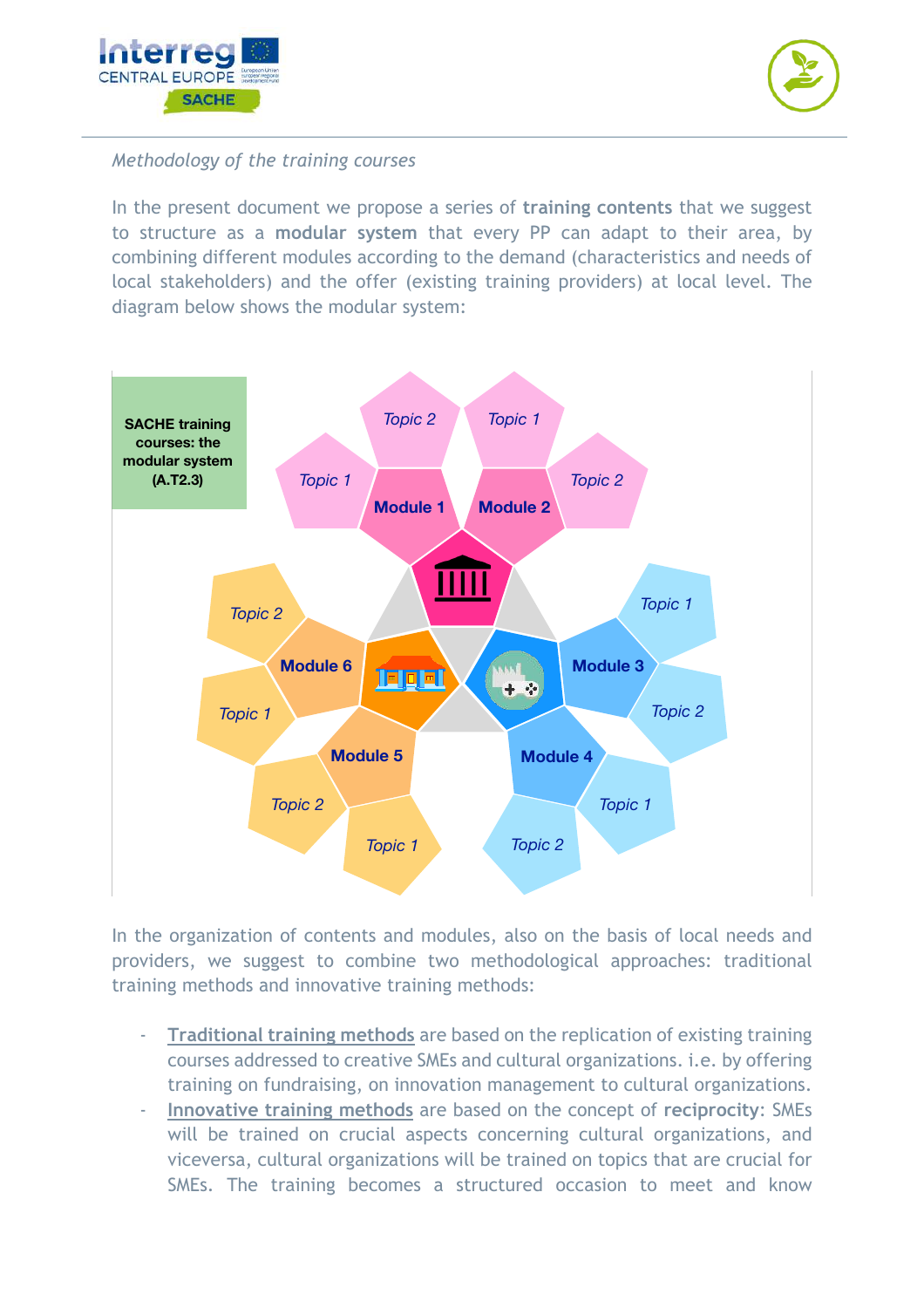



#### *Methodology of the training courses*

In the present document we propose a series of **training contents** that we suggest to structure as a **modular system** that every PP can adapt to their area, by combining different modules according to the demand (characteristics and needs of local stakeholders) and the offer (existing training providers) at local level. The diagram below shows the modular system:



In the organization of contents and modules, also on the basis of local needs and providers, we suggest to combine two methodological approaches: traditional training methods and innovative training methods:

- **Traditional training methods** are based on the replication of existing training courses addressed to creative SMEs and cultural organizations. i.e. by offering training on fundraising, on innovation management to cultural organizations.
- **Innovative training methods** are based on the concept of **reciprocity**: SMEs will be trained on crucial aspects concerning cultural organizations, and viceversa, cultural organizations will be trained on topics that are crucial for SMEs. The training becomes a structured occasion to meet and know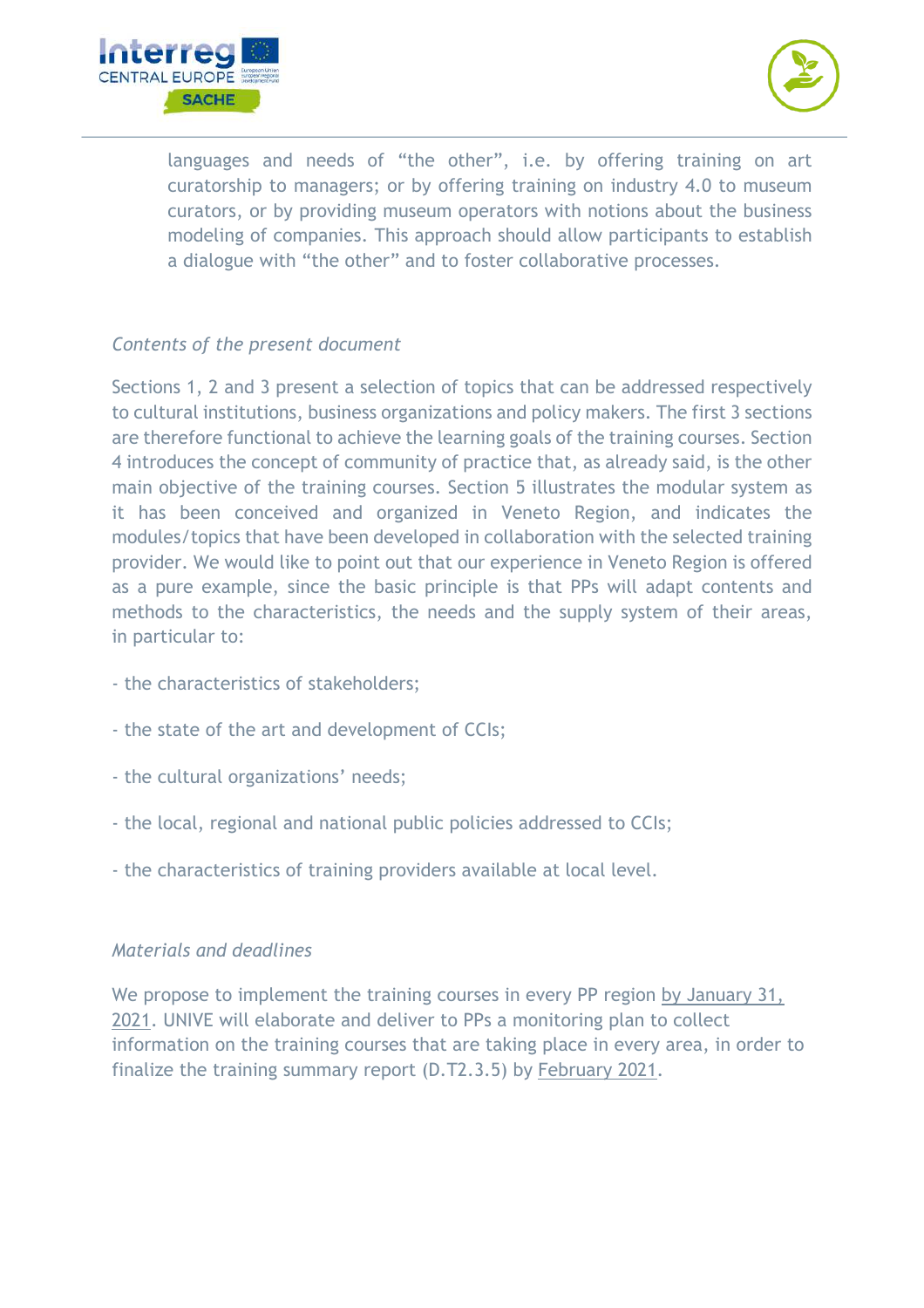



languages and needs of "the other", i.e. by offering training on art curatorship to managers; or by offering training on industry 4.0 to museum curators, or by providing museum operators with notions about the business modeling of companies. This approach should allow participants to establish a dialogue with "the other" and to foster collaborative processes.

#### *Contents of the present document*

Sections 1, 2 and 3 present a selection of topics that can be addressed respectively to cultural institutions, business organizations and policy makers. The first 3 sections are therefore functional to achieve the learning goals of the training courses. Section 4 introduces the concept of community of practice that, as already said, is the other main objective of the training courses. Section 5 illustrates the modular system as it has been conceived and organized in Veneto Region, and indicates the modules/topics that have been developed in collaboration with the selected training provider. We would like to point out that our experience in Veneto Region is offered as a pure example, since the basic principle is that PPs will adapt contents and methods to the characteristics, the needs and the supply system of their areas, in particular to:

- the characteristics of stakeholders;
- the state of the art and development of CCIs;
- the cultural organizations' needs;
- the local, regional and national public policies addressed to CCIs;
- the characteristics of training providers available at local level.

#### *Materials and deadlines*

We propose to implement the training courses in every PP region by January 31, 2021. UNIVE will elaborate and deliver to PPs a monitoring plan to collect information on the training courses that are taking place in every area, in order to finalize the training summary report (D.T2.3.5) by February 2021.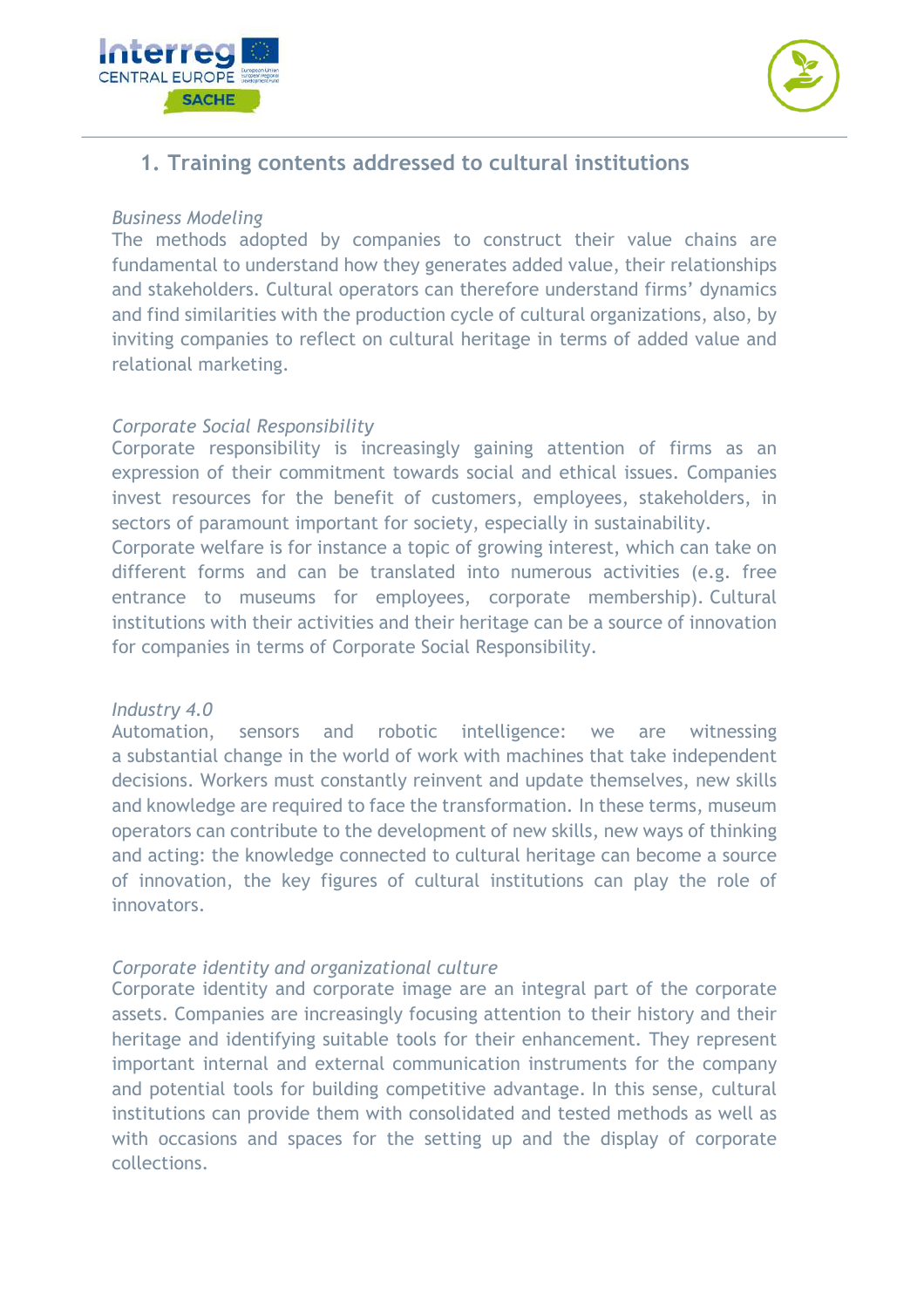



# **1. Training contents addressed to cultural institutions**

#### *Business Modeling*

The methods adopted by companies to construct their value chains are fundamental to understand how they generates added value, their relationships and stakeholders. Cultural operators can therefore understand firms' dynamics and find similarities with the production cycle of cultural organizations, also, by inviting companies to reflect on cultural heritage in terms of added value and relational marketing.

#### *Corporate Social Responsibility*

Corporate responsibility is increasingly gaining attention of firms as an expression of their commitment towards social and ethical issues. Companies invest resources for the benefit of customers, employees, stakeholders, in sectors of paramount important for society, especially in sustainability.

Corporate welfare is for instance a topic of growing interest, which can take on different forms and can be translated into numerous activities (e.g. free entrance to museums for employees, corporate membership). Cultural institutions with their activities and their heritage can be a source of innovation for companies in terms of Corporate Social Responsibility.

#### *Industry 4.0*

Automation, sensors and robotic intelligence: we are witnessing a substantial change in the world of work with machines that take independent decisions. Workers must constantly reinvent and update themselves, new skills and knowledge are required to face the transformation. In these terms, museum operators can contribute to the development of new skills, new ways of thinking and acting: the knowledge connected to cultural heritage can become a source of innovation, the key figures of cultural institutions can play the role of innovators.

#### *Corporate identity and organizational culture*

Corporate identity and corporate image are an integral part of the corporate assets. Companies are increasingly focusing attention to their history and their heritage and identifying suitable tools for their enhancement. They represent important internal and external communication instruments for the company and potential tools for building competitive advantage. In this sense, cultural institutions can provide them with consolidated and tested methods as well as with occasions and spaces for the setting up and the display of corporate collections.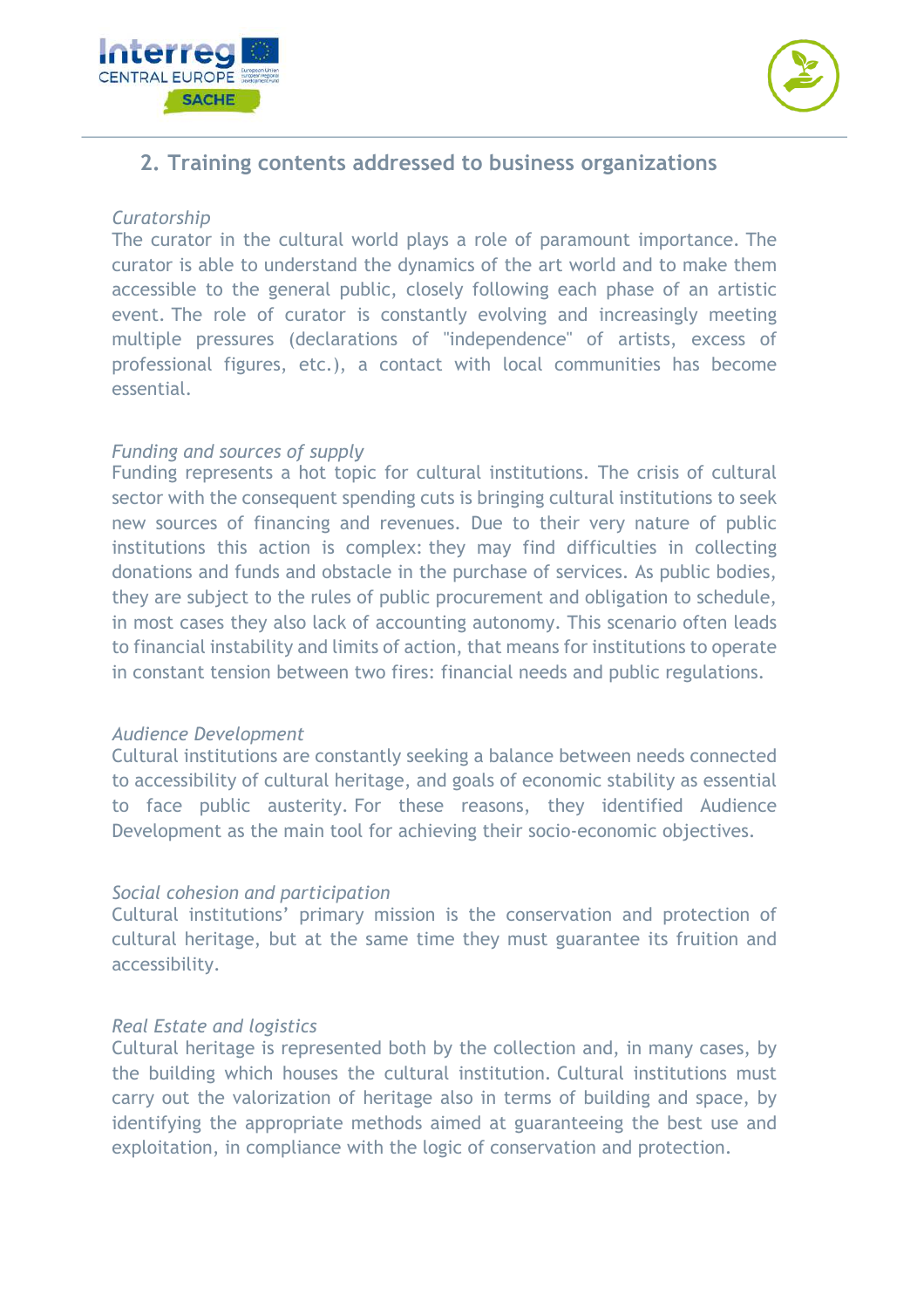



# **2. Training contents addressed to business organizations**

#### *Curatorship*

The curator in the cultural world plays a role of paramount importance. The curator is able to understand the dynamics of the art world and to make them accessible to the general public, closely following each phase of an artistic event. The role of curator is constantly evolving and increasingly meeting multiple pressures (declarations of "independence" of artists, excess of professional figures, etc.), a contact with local communities has become essential.

#### *Funding and sources of supply*

Funding represents a hot topic for cultural institutions. The crisis of cultural sector with the consequent spending cuts is bringing cultural institutions to seek new sources of financing and revenues. Due to their very nature of public institutions this action is complex: they may find difficulties in collecting donations and funds and obstacle in the purchase of services. As public bodies, they are subject to the rules of public procurement and obligation to schedule, in most cases they also lack of accounting autonomy. This scenario often leads to financial instability and limits of action, that means for institutions to operate in constant tension between two fires: financial needs and public regulations.

#### *Audience Development*

Cultural institutions are constantly seeking a balance between needs connected to accessibility of cultural heritage, and goals of economic stability as essential to face public austerity. For these reasons, they identified Audience Development as the main tool for achieving their socio-economic objectives.

#### *Social cohesion and participation*

Cultural institutions' primary mission is the conservation and protection of cultural heritage, but at the same time they must guarantee its fruition and accessibility.

#### *Real Estate and logistics*

Cultural heritage is represented both by the collection and, in many cases, by the building which houses the cultural institution. Cultural institutions must carry out the valorization of heritage also in terms of building and space, by identifying the appropriate methods aimed at guaranteeing the best use and exploitation, in compliance with the logic of conservation and protection.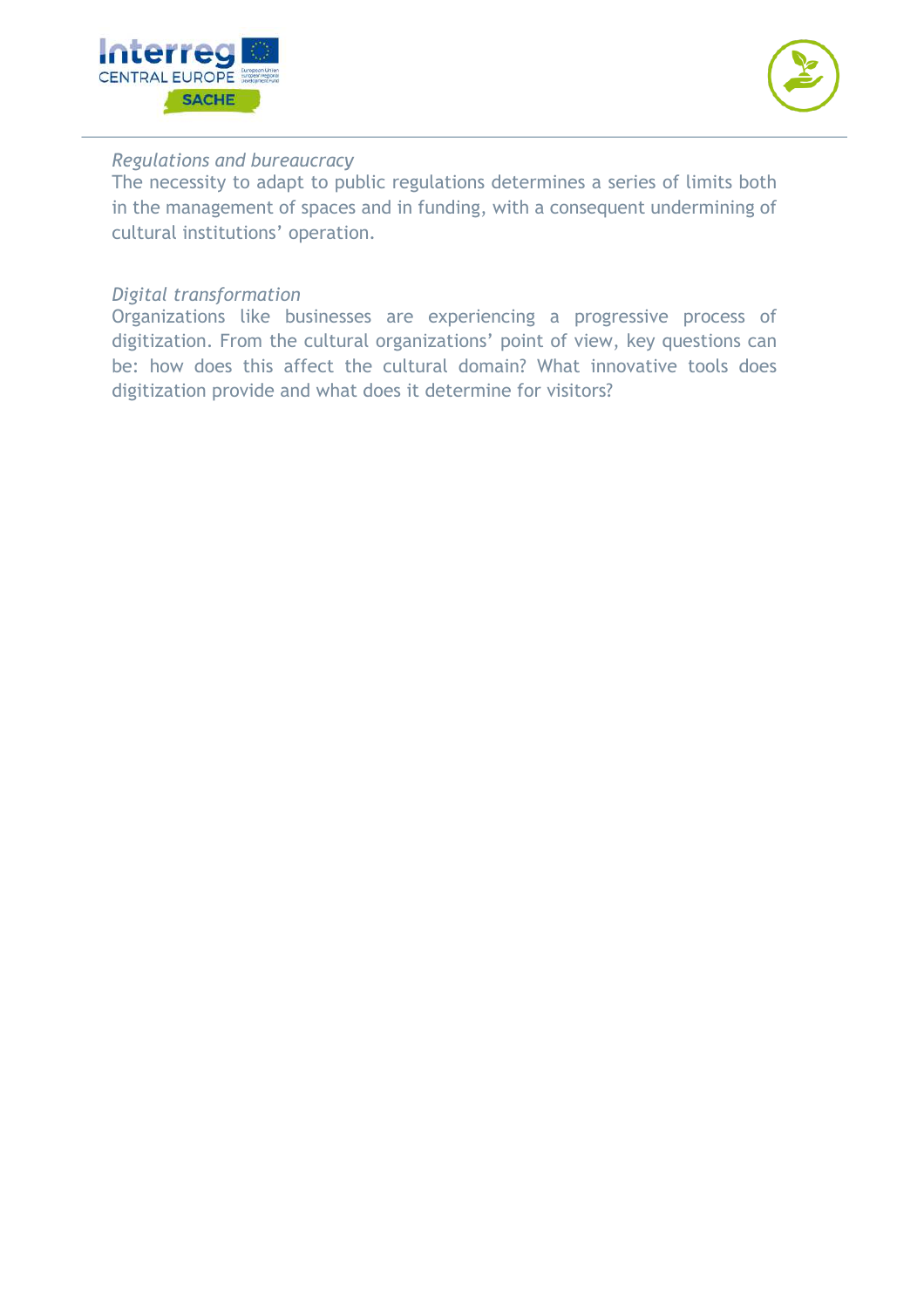



#### *Regulations and bureaucracy*

The necessity to adapt to public regulations determines a series of limits both in the management of spaces and in funding, with a consequent undermining of cultural institutions' operation.

#### *Digital transformation*

Organizations like businesses are experiencing a progressive process of digitization. From the cultural organizations' point of view, key questions can be: how does this affect the cultural domain? What innovative tools does digitization provide and what does it determine for visitors?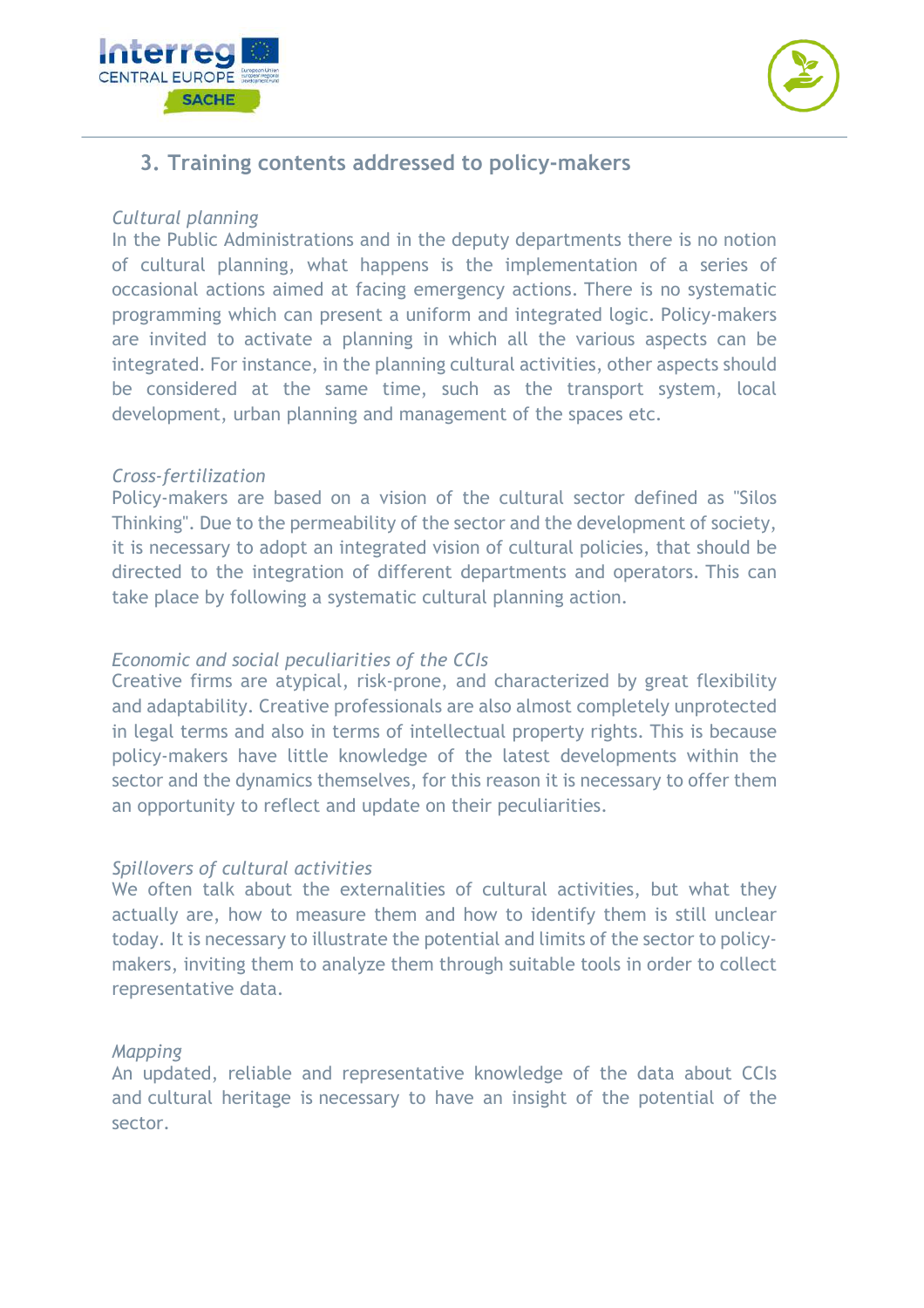



# **3. Training contents addressed to policy-makers**

#### *Cultural planning*

In the Public Administrations and in the deputy departments there is no notion of cultural planning, what happens is the implementation of a series of occasional actions aimed at facing emergency actions. There is no systematic programming which can present a uniform and integrated logic. Policy-makers are invited to activate a planning in which all the various aspects can be integrated. For instance, in the planning cultural activities, other aspects should be considered at the same time, such as the transport system, local development, urban planning and management of the spaces etc.

#### *Cross-fertilization*

Policy-makers are based on a vision of the cultural sector defined as "Silos Thinking". Due to the permeability of the sector and the development of society, it is necessary to adopt an integrated vision of cultural policies, that should be directed to the integration of different departments and operators. This can take place by following a systematic cultural planning action.

#### *Economic and social peculiarities of the CCIs*

Creative firms are atypical, risk-prone, and characterized by great flexibility and adaptability. Creative professionals are also almost completely unprotected in legal terms and also in terms of intellectual property rights. This is because policy-makers have little knowledge of the latest developments within the sector and the dynamics themselves, for this reason it is necessary to offer them an opportunity to reflect and update on their peculiarities.

#### *Spillovers of cultural activities*

We often talk about the externalities of cultural activities, but what they actually are, how to measure them and how to identify them is still unclear today. It is necessary to illustrate the potential and limits of the sector to policymakers, inviting them to analyze them through suitable tools in order to collect representative data.

#### *Mapping*

An updated, reliable and representative knowledge of the data about CCIs and cultural heritage is necessary to have an insight of the potential of the sector.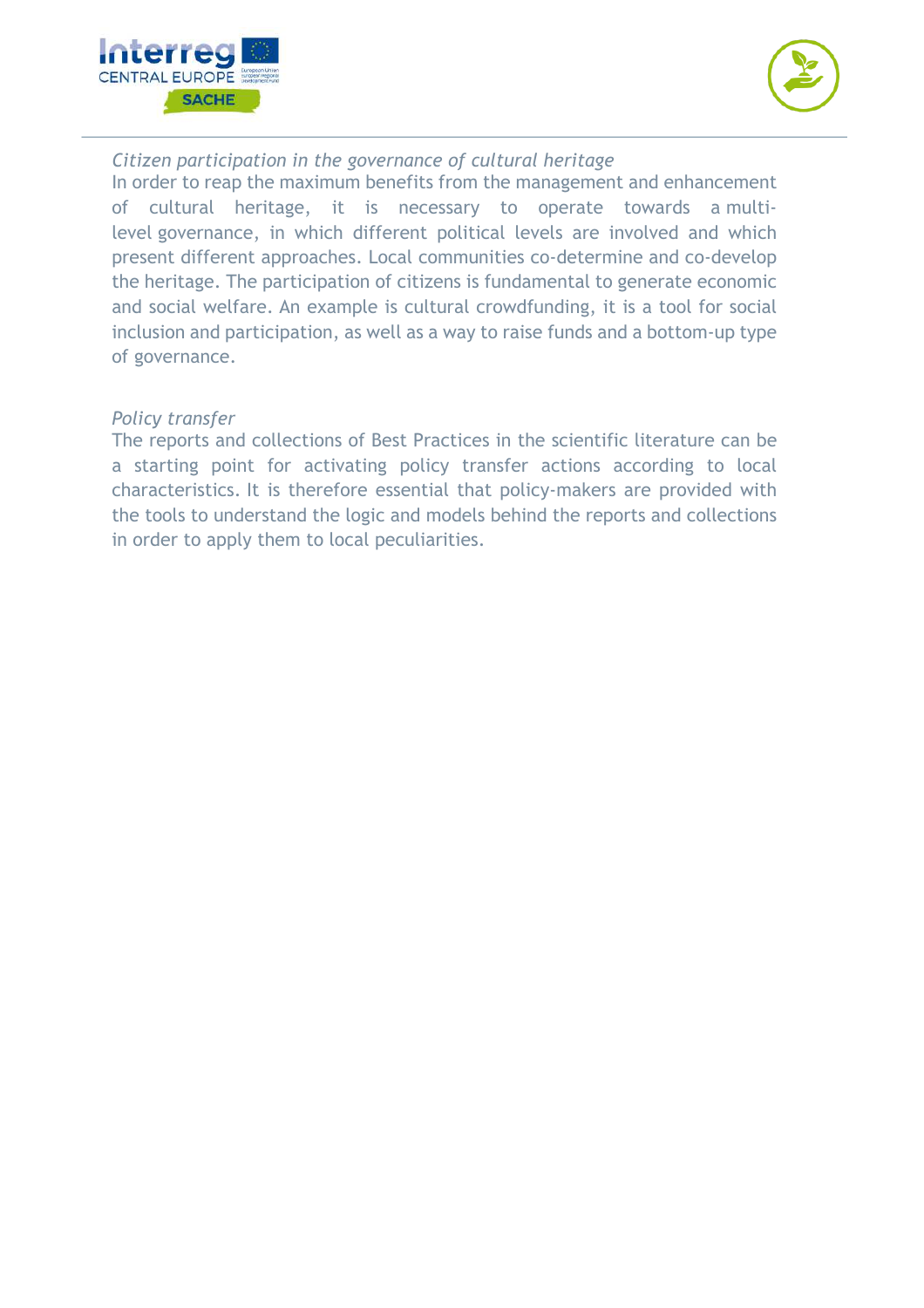



*Citizen participation in the governance of cultural heritage*

In order to reap the maximum benefits from the management and enhancement of cultural heritage, it is necessary to operate towards a multilevel governance, in which different political levels are involved and which present different approaches. Local communities co-determine and co-develop the heritage. The participation of citizens is fundamental to generate economic and social welfare. An example is cultural crowdfunding, it is a tool for social inclusion and participation, as well as a way to raise funds and a bottom-up type of governance.

#### *Policy transfer*

The reports and collections of Best Practices in the scientific literature can be a starting point for activating policy transfer actions according to local characteristics. It is therefore essential that policy-makers are provided with the tools to understand the logic and models behind the reports and collections in order to apply them to local peculiarities.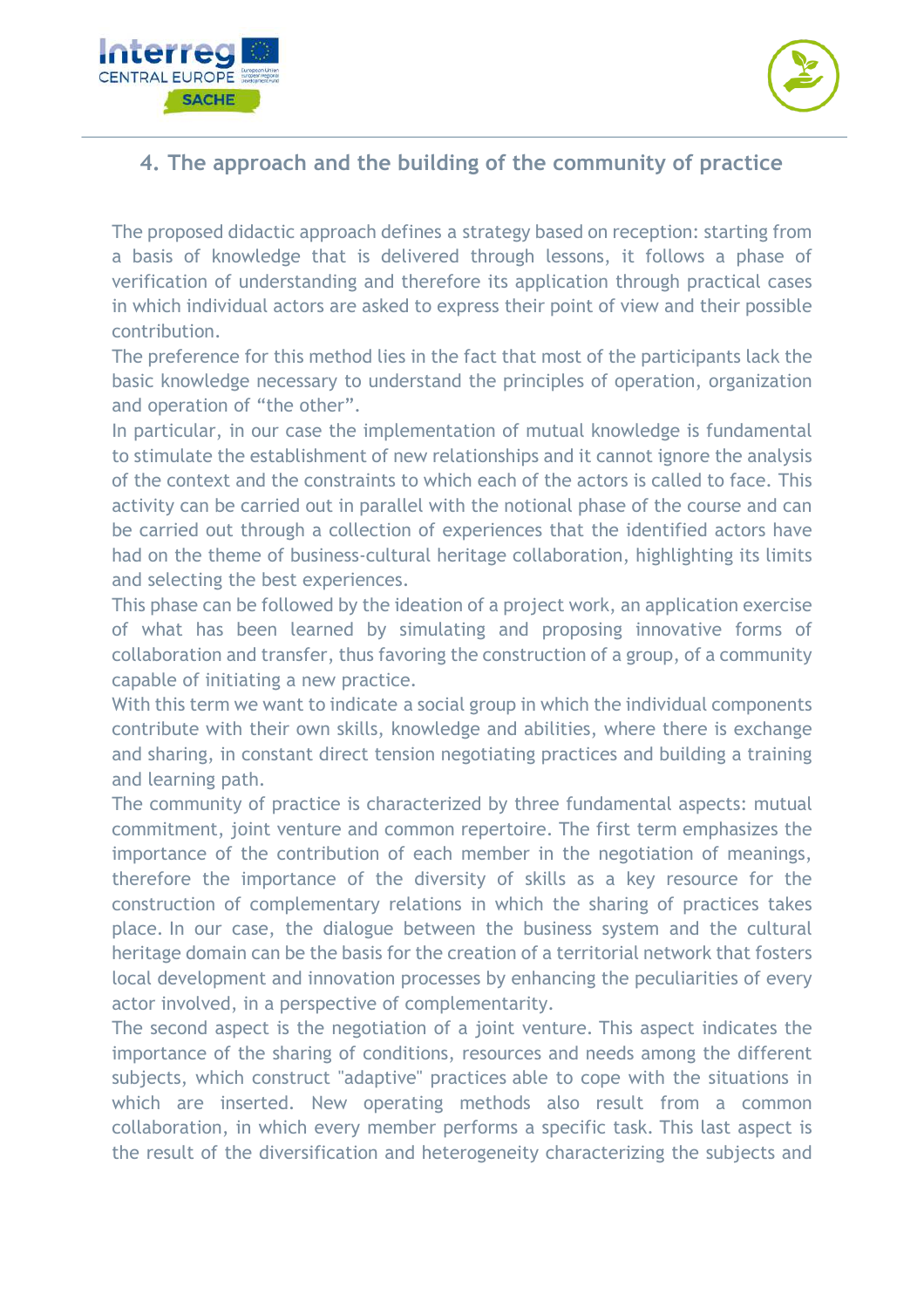



# **4. The approach and the building of the community of practice**

The proposed didactic approach defines a strategy based on reception: starting from a basis of knowledge that is delivered through lessons, it follows a phase of verification of understanding and therefore its application through practical cases in which individual actors are asked to express their point of view and their possible contribution.

The preference for this method lies in the fact that most of the participants lack the basic knowledge necessary to understand the principles of operation, organization and operation of "the other".

In particular, in our case the implementation of mutual knowledge is fundamental to stimulate the establishment of new relationships and it cannot ignore the analysis of the context and the constraints to which each of the actors is called to face. This activity can be carried out in parallel with the notional phase of the course and can be carried out through a collection of experiences that the identified actors have had on the theme of business-cultural heritage collaboration, highlighting its limits and selecting the best experiences.

This phase can be followed by the ideation of a project work, an application exercise of what has been learned by simulating and proposing innovative forms of collaboration and transfer, thus favoring the construction of a group, of a community capable of initiating a new practice.

With this term we want to indicate a social group in which the individual components contribute with their own skills, knowledge and abilities, where there is exchange and sharing, in constant direct tension negotiating practices and building a training and learning path.

The community of practice is characterized by three fundamental aspects: mutual commitment, joint venture and common repertoire. The first term emphasizes the importance of the contribution of each member in the negotiation of meanings, therefore the importance of the diversity of skills as a key resource for the construction of complementary relations in which the sharing of practices takes place. In our case, the dialogue between the business system and the cultural heritage domain can be the basis for the creation of a territorial network that fosters local development and innovation processes by enhancing the peculiarities of every actor involved, in a perspective of complementarity.

The second aspect is the negotiation of a joint venture. This aspect indicates the importance of the sharing of conditions, resources and needs among the different subjects, which construct "adaptive" practices able to cope with the situations in which are inserted. New operating methods also result from a common collaboration, in which every member performs a specific task. This last aspect is the result of the diversification and heterogeneity characterizing the subjects and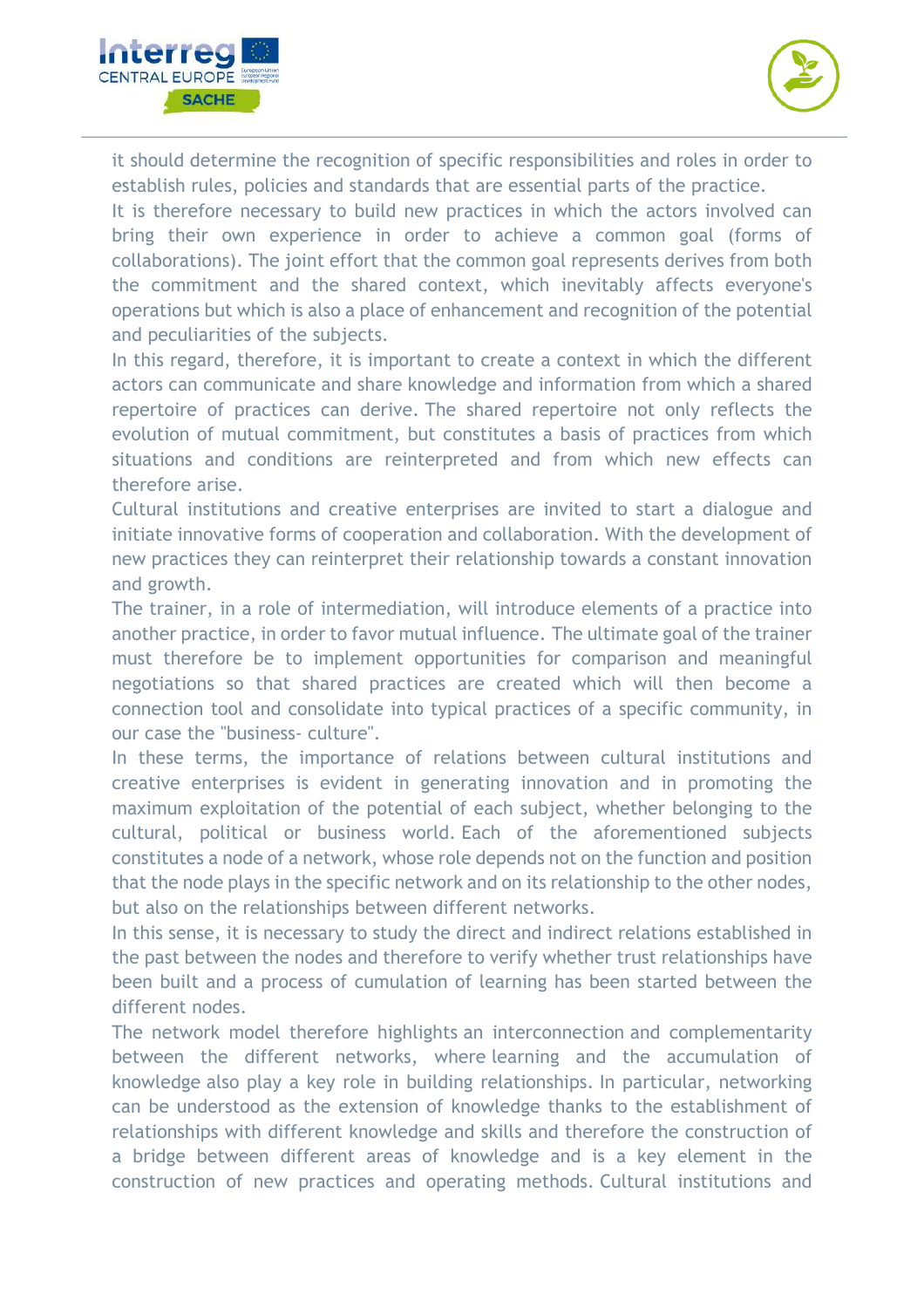



it should determine the recognition of specific responsibilities and roles in order to establish rules, policies and standards that are essential parts of the practice.

It is therefore necessary to build new practices in which the actors involved can bring their own experience in order to achieve a common goal (forms of collaborations). The joint effort that the common goal represents derives from both the commitment and the shared context, which inevitably affects everyone's operations but which is also a place of enhancement and recognition of the potential and peculiarities of the subjects.

In this regard, therefore, it is important to create a context in which the different actors can communicate and share knowledge and information from which a shared repertoire of practices can derive. The shared repertoire not only reflects the evolution of mutual commitment, but constitutes a basis of practices from which situations and conditions are reinterpreted and from which new effects can therefore arise.

Cultural institutions and creative enterprises are invited to start a dialogue and initiate innovative forms of cooperation and collaboration. With the development of new practices they can reinterpret their relationship towards a constant innovation and growth.

The trainer, in a role of intermediation, will introduce elements of a practice into another practice, in order to favor mutual influence. The ultimate goal of the trainer must therefore be to implement opportunities for comparison and meaningful negotiations so that shared practices are created which will then become a connection tool and consolidate into typical practices of a specific community, in our case the "business- culture".

In these terms, the importance of relations between cultural institutions and creative enterprises is evident in generating innovation and in promoting the maximum exploitation of the potential of each subject, whether belonging to the cultural, political or business world. Each of the aforementioned subjects constitutes a node of a network, whose role depends not on the function and position that the node plays in the specific network and on its relationship to the other nodes, but also on the relationships between different networks.

In this sense, it is necessary to study the direct and indirect relations established in the past between the nodes and therefore to verify whether trust relationships have been built and a process of cumulation of learning has been started between the different nodes.

The network model therefore highlights an interconnection and complementarity between the different networks, where learning and the accumulation of knowledge also play a key role in building relationships. In particular, networking can be understood as the extension of knowledge thanks to the establishment of relationships with different knowledge and skills and therefore the construction of a bridge between different areas of knowledge and is a key element in the construction of new practices and operating methods. Cultural institutions and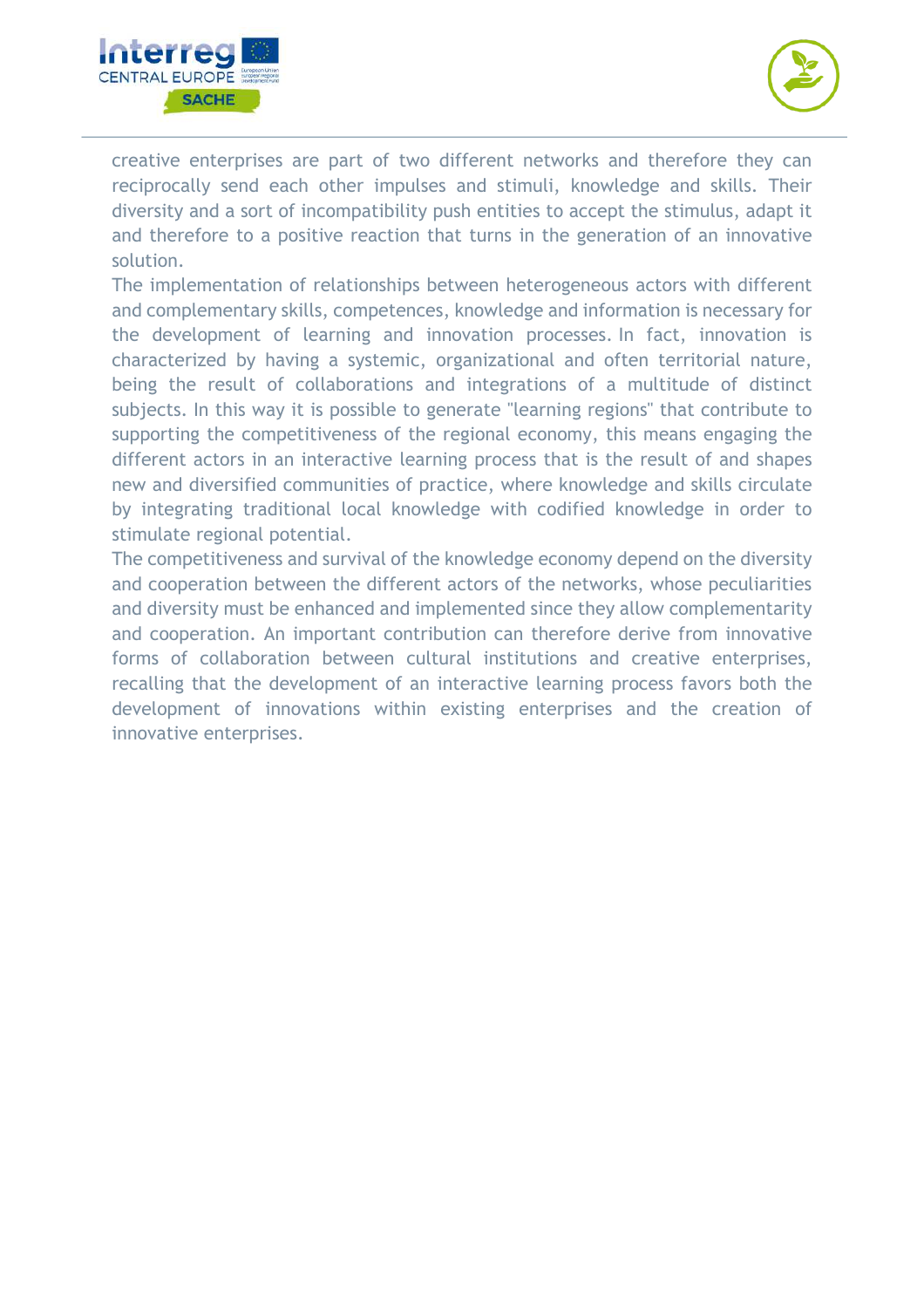



creative enterprises are part of two different networks and therefore they can reciprocally send each other impulses and stimuli, knowledge and skills. Their diversity and a sort of incompatibility push entities to accept the stimulus, adapt it and therefore to a positive reaction that turns in the generation of an innovative solution.

The implementation of relationships between heterogeneous actors with different and complementary skills, competences, knowledge and information is necessary for the development of learning and innovation processes. In fact, innovation is characterized by having a systemic, organizational and often territorial nature, being the result of collaborations and integrations of a multitude of distinct subjects. In this way it is possible to generate "learning regions" that contribute to supporting the competitiveness of the regional economy, this means engaging the different actors in an interactive learning process that is the result of and shapes new and diversified communities of practice, where knowledge and skills circulate by integrating traditional local knowledge with codified knowledge in order to stimulate regional potential.

The competitiveness and survival of the knowledge economy depend on the diversity and cooperation between the different actors of the networks, whose peculiarities and diversity must be enhanced and implemented since they allow complementarity and cooperation. An important contribution can therefore derive from innovative forms of collaboration between cultural institutions and creative enterprises, recalling that the development of an interactive learning process favors both the development of innovations within existing enterprises and the creation of innovative enterprises.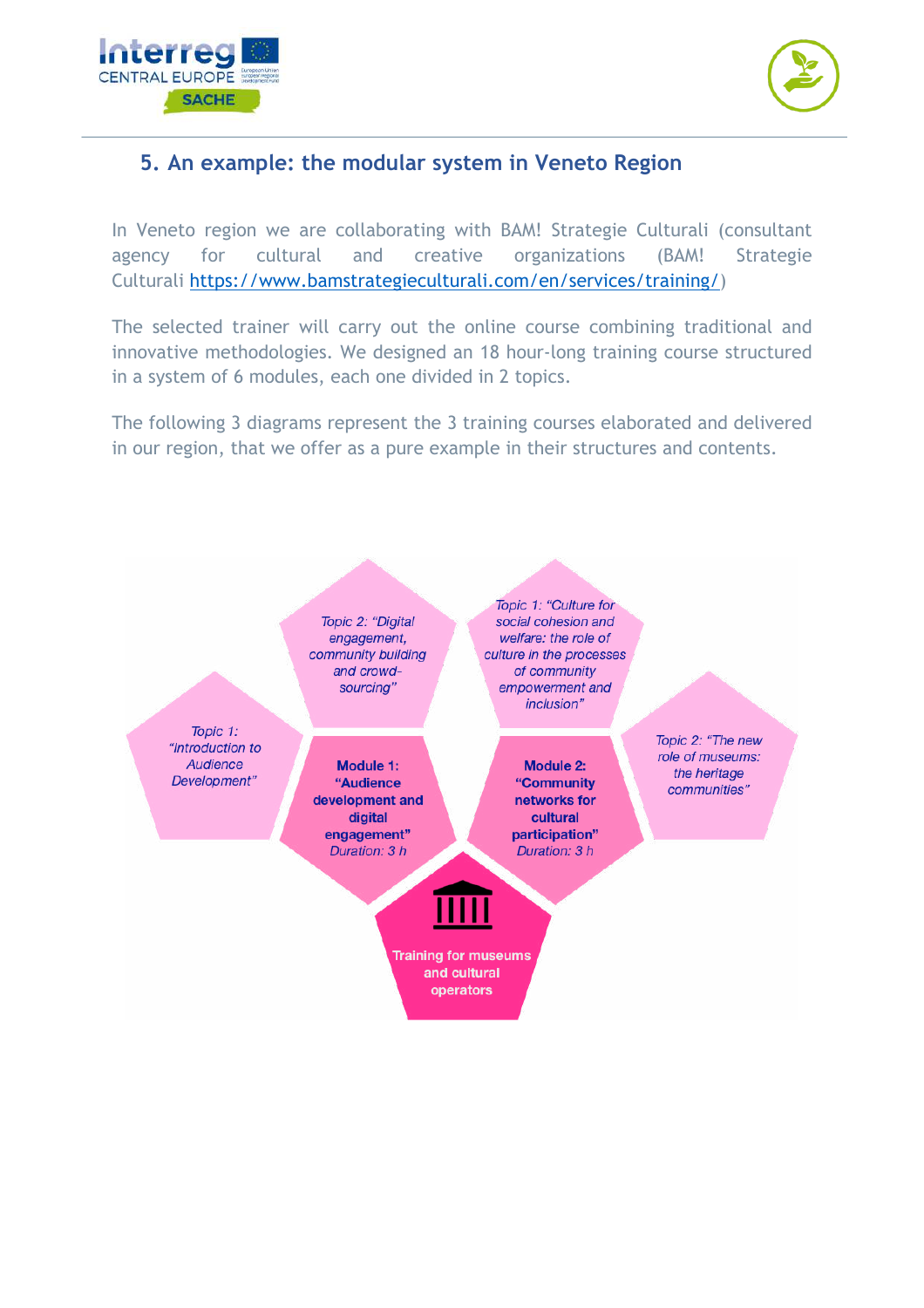



# **5. An example: the modular system in Veneto Region**

In Veneto region we are collaborating with BAM! Strategie Culturali (consultant agency for cultural and creative organizations (BAM! Strategie Culturali https://www.bamstrategieculturali.com/en/services/training/)

The selected trainer will carry out the online course combining traditional and innovative methodologies. We designed an 18 hour-long training course structured in a system of 6 modules, each one divided in 2 topics.

The following 3 diagrams represent the 3 training courses elaborated and delivered in our region, that we offer as a pure example in their structures and contents.